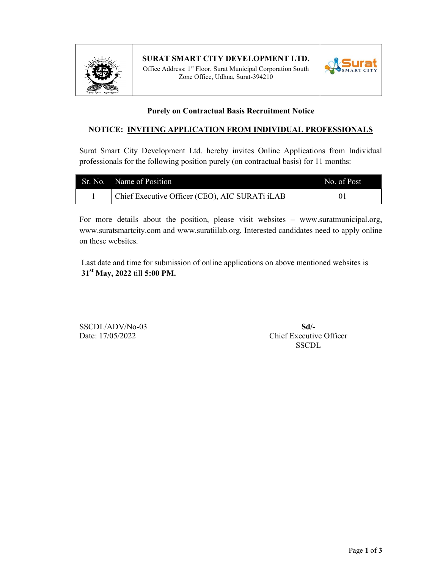

#### SURAT SMART CITY DEVELOPMENT LTD.

Office Address: 1<sup>st</sup> Floor, Surat Municipal Corporation South Zone Office, Udhna, Surat-394210



#### Purely on Contractual Basis Recruitment Notice

#### NOTICE: INVITING APPLICATION FROM INDIVIDUAL PROFESSIONALS

Surat Smart City Development Ltd. hereby invites Online Applications from Individual professionals for the following position purely (on contractual basis) for 11 months:

| Sr. No. Name of Position                       | No. of Post |
|------------------------------------------------|-------------|
| Chief Executive Officer (CEO), AIC SURATi iLAB |             |

For more details about the position, please visit websites – www.suratmunicipal.org, www.suratsmartcity.com and www.suratiilab.org. Interested candidates need to apply online on these websites.

 Last date and time for submission of online applications on above mentioned websites is 31<sup>st</sup> May, 2022 till 5:00 PM.

SSCDL/ADV/No-03 SSCDL/ADV/No-03

Date: 17/05/2022 Chief Executive Officer SSCDL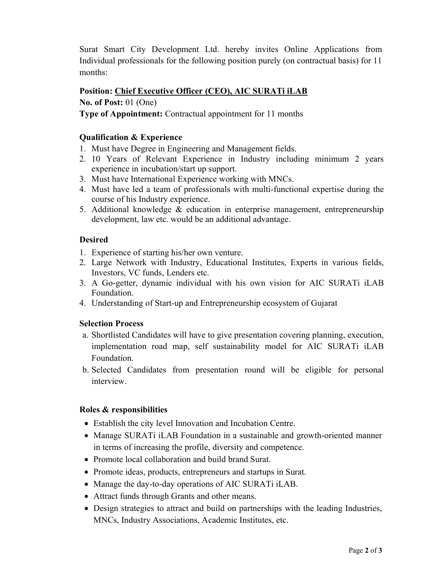Surat Smart City Development Ltd. hereby invites Online Applications from Individual professionals for the following position purely (on contractual basis) for 11 months:

# Position: Chief Executive Officer (CEO), AIC SURATi iLAB

# No. of Post: 01 (One)

Type of Appointment: Contractual appointment for 11 months

# Qualification & Experience

- 1. Must have Degree in Engineering and Management fields.
- 2. 10 Years of Relevant Experience in Industry including minimum 2 years experience in incubation/start up support.
- 3. Must have International Experience working with MNCs.
- 4. Must have led a team of professionals with multi-functional expertise during the course of his Industry experience.
- 5. Additional knowledge & education in enterprise management, entrepreneurship development, law etc. would be an additional advantage.

# Desired

- 1. Experience of starting his/her own venture.
- 2. Large Network with Industry, Educational Institutes, Experts in various fields, Investors, VC funds, Lenders etc.
- 3. A Go-getter, dynamic individual with his own vision for AIC SURATi iLAB Foundation.
- 4. Understanding of Start-up and Entrepreneurship ecosystem of Gujarat

### Selection Process

- a. Shortlisted Candidates will have to give presentation covering planning, execution, implementation road map, self sustainability model for AIC SURATi iLAB Foundation.
- b. Selected Candidates from presentation round will be eligible for personal interview.

### Roles & responsibilities

- Establish the city level Innovation and Incubation Centre.
- Manage SURATi iLAB Foundation in a sustainable and growth-oriented manner in terms of increasing the profile, diversity and competence.
- Promote local collaboration and build brand Surat.
- Promote ideas, products, entrepreneurs and startups in Surat.
- Manage the day-to-day operations of AIC SURATi iLAB.
- Attract funds through Grants and other means.
- Design strategies to attract and build on partnerships with the leading Industries, MNCs, Industry Associations, Academic Institutes, etc.